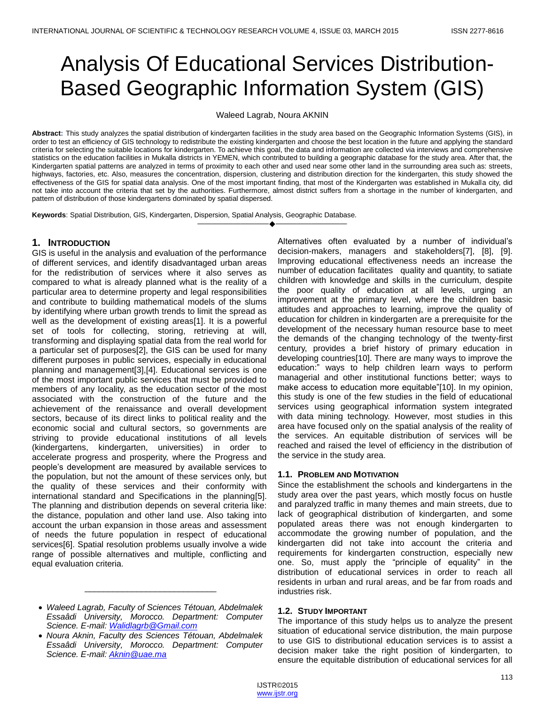# Analysis Of Educational Services Distribution-Based Geographic Information System (GIS)

Waleed Lagrab, Noura AKNIN

**Abstract:** This study analyzes the spatial distribution of kindergarten facilities in the study area based on the Geographic Information Systems (GIS), in order to test an efficiency of GIS technology to redistribute the existing kindergarten and choose the best location in the future and applying the standard criteria for selecting the suitable locations for kindergarten. To achieve this goal, the data and information are collected via interviews and comprehensive statistics on the education facilities in Mukalla districts in YEMEN, which contributed to building a geographic database for the study area. After that, the Kindergarten spatial patterns are analyzed in terms of proximity to each other and used near some other land in the surrounding area such as: streets, highways, factories, etc. Also, measures the concentration, dispersion, clustering and distribution direction for the kindergarten, this study showed the effectiveness of the GIS for spatial data analysis. One of the most important finding, that most of the Kindergarten was established in Mukalla city, did not take into account the criteria that set by the authorities. Furthermore, almost district suffers from a shortage in the number of kindergarten, and pattern of distribution of those kindergartens dominated by spatial dispersed.

————————————————————

**Keywords**: Spatial Distribution, GIS, Kindergarten, Dispersion, Spatial Analysis, Geographic Database.

# **1. INTRODUCTION**

GIS is useful in the analysis and evaluation of the performance of different services, and identify disadvantaged urban areas for the redistribution of services where it also serves as compared to what is already planned what is the reality of a particular area to determine property and legal responsibilities and contribute to building mathematical models of the slums by identifying where urban growth trends to limit the spread as well as the development of existing areas[1]. It is a powerful set of tools for collecting, storing, retrieving at will, transforming and displaying spatial data from the real world for a particular set of purposes[2], the GIS can be used for many different purposes in public services, especially in educational planning and management[3],[4]. Educational services is one of the most important public services that must be provided to members of any locality, as the education sector of the most associated with the construction of the future and the achievement of the renaissance and overall development sectors, because of its direct links to political reality and the economic social and cultural sectors, so governments are striving to provide educational institutions of all levels (kindergartens, kindergarten, universities) in order to accelerate progress and prosperity, where the Progress and people's development are measured by available services to the population, but not the amount of these services only, but the quality of these services and their conformity with international standard and Specifications in the planning[5]. The planning and distribution depends on several criteria like: the distance, population and other land use. Also taking into account the urban expansion in those areas and assessment of needs the future population in respect of educational services[6]. Spatial resolution problems usually involve a wide range of possible alternatives and multiple, conflicting and equal evaluation criteria.

\_\_\_\_\_\_\_\_\_\_\_\_\_\_\_\_\_\_\_\_\_\_\_\_\_\_\_\_

Alternatives often evaluated by a number of individual's decision-makers, managers and stakeholders[7], [8], [9]. Improving educational effectiveness needs an increase the number of education facilitates quality and quantity, to satiate children with knowledge and skills in the curriculum, despite the poor quality of education at all levels, urging an improvement at the primary level, where the children basic attitudes and approaches to learning, improve the quality of education for children in kindergarten are a prerequisite for the development of the necessary human resource base to meet the demands of the changing technology of the twenty-first century, provides a brief history of primary education in developing countries[10]. There are many ways to improve the education:‖ ways to help children learn ways to perform managerial and other institutional functions better; ways to make access to education more equitable"[10]. In my opinion, this study is one of the few studies in the field of educational services using geographical information system integrated with data mining technology. However, most studies in this area have focused only on the spatial analysis of the reality of the services. An equitable distribution of services will be reached and raised the level of efficiency in the distribution of the service in the study area.

# **1.1. PROBLEM AND MOTIVATION**

Since the establishment the schools and kindergartens in the study area over the past years, which mostly focus on hustle and paralyzed traffic in many themes and main streets, due to lack of geographical distribution of kindergarten, and some populated areas there was not enough kindergarten to accommodate the growing number of population, and the kindergarten did not take into account the criteria and requirements for kindergarten construction, especially new one. So, must apply the "principle of equality" in the distribution of educational services in order to reach all residents in urban and rural areas, and be far from roads and industries risk.

# **1.2. STUDY IMPORTANT**

The importance of this study helps us to analyze the present situation of educational service distribution, the main purpose to use GIS to distributional education services is to assist a decision maker take the right position of kindergarten, to ensure the equitable distribution of educational services for all

*Waleed Lagrab, Faculty of Sciences Tétouan, Abdelmalek Essaâdi University, Morocco. Department: Computer Science. E-mail[: Walidlagrb@Gmail.com](mailto:Walidlagrb@Gmail.com)*

*Noura Aknin, Faculty des Sciences Tétouan, Abdelmalek Essaâdi University, Morocco. Department: Computer Science. E-mail[: Aknin@uae.ma](mailto:Aknin@uae.ma)*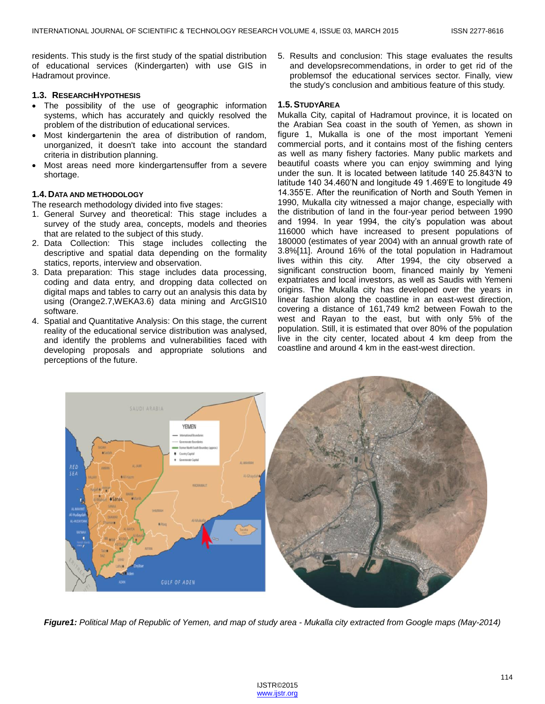residents. This study is the first study of the spatial distribution of educational services (Kindergarten) with use GIS in Hadramout province.

#### **1.3. RESEARCHHYPOTHESIS**

- The possibility of the use of geographic information systems, which has accurately and quickly resolved the problem of the distribution of educational services.
- Most kindergartenin the area of distribution of random, unorganized, it doesn't take into account the standard criteria in distribution planning.
- Most areas need more kindergartensuffer from a severe shortage.

#### **1.4. DATA AND METHODOLOGY**

The research methodology divided into five stages:

- 1. General Survey and theoretical: This stage includes a survey of the study area, concepts, models and theories that are related to the subject of this study.
- 2. Data Collection: This stage includes collecting the descriptive and spatial data depending on the formality statics, reports, interview and observation.
- 3. Data preparation: This stage includes data processing, coding and data entry, and dropping data collected on digital maps and tables to carry out an analysis this data by using (Orange2.7,WEKA3.6) data mining and ArcGIS10 software.
- 4. Spatial and Quantitative Analysis: On this stage, the current reality of the educational service distribution was analysed, and identify the problems and vulnerabilities faced with developing proposals and appropriate solutions and perceptions of the future.

5. Results and conclusion: This stage evaluates the results and developsrecommendations, in order to get rid of the problemsof the educational services sector. Finally, view the study's conclusion and ambitious feature of this study.

#### **1.5.STUDYAREA**

Mukalla City, capital of Hadramout province, it is located on the Arabian Sea coast in the south of Yemen, as shown in figure 1, Mukalla is one of the most important Yemeni commercial ports, and it contains most of the fishing centers as well as many fishery factories. Many public markets and beautiful coasts where you can enjoy swimming and lying under the sun. It is located between latitude 140 25.843'N to latitude 140 34.460'N and longitude 49 1.469'E to longitude 49 14.355'E. After the reunification of North and South Yemen in 1990, Mukalla city witnessed a major change, especially with the distribution of land in the four-year period between 1990 and 1994. In year 1994, the city's population was about 116000 which have increased to present populations of 180000 (estimates of year 2004) with an annual growth rate of 3.8%[11]. Around 16% of the total population in Hadramout After 1994, the city observed a significant construction boom, financed mainly by Yemeni expatriates and local investors, as well as Saudis with Yemeni origins. The Mukalla city has developed over the years in linear fashion along the coastline in an east-west direction, covering a distance of 161,749 km2 between Fowah to the west and Rayan to the east, but with only 5% of the population. Still, it is estimated that over 80% of the population live in the city center, located about 4 km deep from the coastline and around 4 km in the east-west direction.



*Figure1: Political Map of Republic of Yemen, and map of study area - Mukalla city extracted from Google maps (May-2014)*

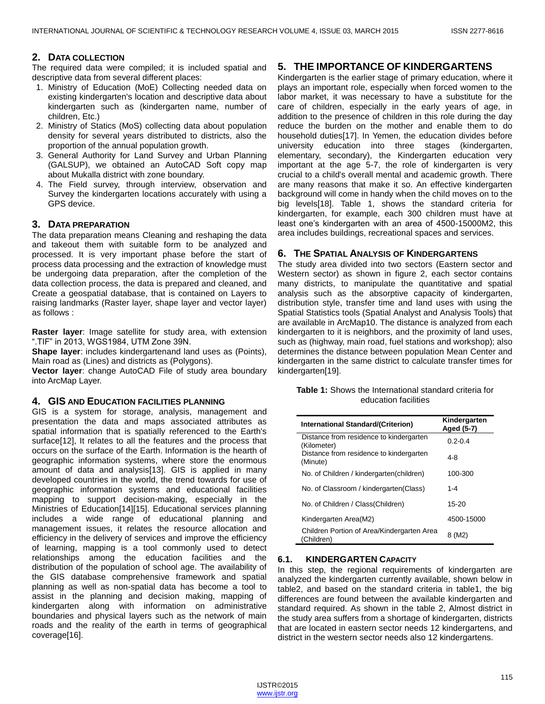# **2. DATA COLLECTION**

The required data were compiled; it is included spatial and descriptive data from several different places:

- 1. Ministry of Education (MoE) Collecting needed data on existing kindergarten's location and descriptive data about kindergarten such as (kindergarten name, number of children, Etc.)
- 2. Ministry of Statics (MoS) collecting data about population density for several years distributed to districts, also the proportion of the annual population growth.
- 3. General Authority for Land Survey and Urban Planning (GALSUP), we obtained an AutoCAD Soft copy map about Mukalla district with zone boundary.
- 4. The Field survey, through interview, observation and Survey the kindergarten locations accurately with using a GPS device.

## **3. DATA PREPARATION**

The data preparation means Cleaning and reshaping the data and takeout them with suitable form to be analyzed and processed. It is very important phase before the start of process data processing and the extraction of knowledge must be undergoing data preparation, after the completion of the data collection process, the data is prepared and cleaned, and Create a geospatial database, that is contained on Layers to raising landmarks (Raster layer, shape layer and vector layer) as follows :

**Raster layer**: Image satellite for study area, with extension ".TIF" in 2013, WGS1984, UTM Zone 39N.

**Shape layer:** includes kindergartenand land uses as (Points), Main road as (Lines) and districts as (Polygons).

**Vector layer**: change AutoCAD File of study area boundary into ArcMap Layer.

#### **4. GIS AND EDUCATION FACILITIES PLANNING**

GIS is a system for storage, analysis, management and presentation the data and maps associated attributes as spatial information that is spatially referenced to the Earth's surface[12], It relates to all the features and the process that occurs on the surface of the Earth. Information is the hearth of geographic information systems, where store the enormous amount of data and analysis[13]. GIS is applied in many developed countries in the world, the trend towards for use of geographic information systems and educational facilities mapping to support decision-making, especially in the Ministries of Education[14][15]. Educational services planning includes a wide range of educational planning and management issues, it relates the resource allocation and efficiency in the delivery of services and improve the efficiency of learning, mapping is a tool commonly used to detect relationships among the education facilities and the distribution of the population of school age. The availability of the GIS database comprehensive framework and spatial planning as well as non-spatial data has become a tool to assist in the planning and decision making, mapping of kindergarten along with information on administrative boundaries and physical layers such as the network of main roads and the reality of the earth in terms of geographical coverage[16].

# **5. THE IMPORTANCE OF KINDERGARTENS**

Kindergarten is the earlier stage of primary education, where it plays an important role, especially when forced women to the labor market, it was necessary to have a substitute for the care of children, especially in the early years of age, in addition to the presence of children in this role during the day reduce the burden on the mother and enable them to do household duties[17]. In Yemen, the education divides before university education into three stages (kindergarten, elementary, secondary), the Kindergarten education very important at the age 5-7, the role of kindergarten is very crucial to a child's overall mental and academic growth. There are many reasons that make it so. An effective kindergarten background will come in handy when the child moves on to the big levels[18]. Table 1, shows the standard criteria for kindergarten, for example, each 300 children must have at least one's kindergarten with an area of 4500-15000M2, this area includes buildings, recreational spaces and services.

#### **6. THE SPATIAL ANALYSIS OF KINDERGARTENS**

The study area divided into two sectors (Eastern sector and Western sector) as shown in figure 2, each sector contains many districts, to manipulate the quantitative and spatial analysis such as the absorptive capacity of kindergarten, distribution style, transfer time and land uses with using the Spatial Statistics tools (Spatial Analyst and Analysis Tools) that are available in ArcMap10. The distance is analyzed from each kindergarten to it is neighbors, and the proximity of land uses, such as (highway, main road, fuel stations and workshop); also determines the distance between population Mean Center and kindergarten in the same district to calculate transfer times for kindergarten[19].

|  | <b>Table 1:</b> Shows the International standard criteria for |  |
|--|---------------------------------------------------------------|--|
|  | education facilities                                          |  |

| International Standard/(Criterion)                       | Kindergarten<br>Aged (5-7) |
|----------------------------------------------------------|----------------------------|
| Distance from residence to kindergarten<br>(Kilometer)   | $0.2 - 0.4$                |
| Distance from residence to kindergarten<br>(Minute)      | 4-8                        |
| No. of Children / kindergarten(children)                 | 100-300                    |
| No. of Classroom / kindergarten(Class)                   | $1 - 4$                    |
| No. of Children / Class (Children)                       | 15-20                      |
| Kindergarten Area(M2)                                    | 4500-15000                 |
| Children Portion of Area/Kindergarten Area<br>(Children) | 8 (M2)                     |

#### **6.1. KINDERGARTEN CAPACITY**

In this step, the regional requirements of kindergarten are analyzed the kindergarten currently available, shown below in table2, and based on the standard criteria in table1, the big differences are found between the available kindergarten and standard required. As shown in the table 2, Almost district in the study area suffers from a shortage of kindergarten, districts that are located in eastern sector needs 12 kindergartens, and district in the western sector needs also 12 kindergartens.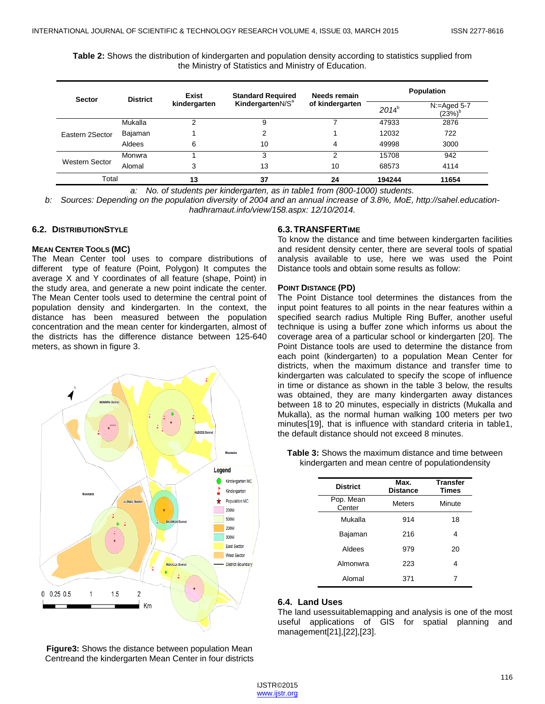**Table 2:** Shows the distribution of kindergarten and population density according to statistics supplied from the Ministry of Statistics and Ministry of Education.

| <b>Sector</b>   | <b>District</b> | Exist<br>kindergarten | <b>Standard Required</b><br>KindergartenN/S <sup>a</sup> | Needs remain<br>of kindergarten | <b>Population</b> |                             |
|-----------------|-----------------|-----------------------|----------------------------------------------------------|---------------------------------|-------------------|-----------------------------|
|                 |                 |                       |                                                          |                                 | $2014^{b}$        | $N =$ Aged 5-7<br>$(23%)^b$ |
| Eastern 2Sector | Mukalla         |                       | 9                                                        |                                 | 47933             | 2876                        |
|                 | Bajaman         |                       | 2                                                        |                                 | 12032             | 722                         |
|                 | Aldees          | 6                     | 10                                                       | 4                               | 49998             | 3000                        |
| Western Sector  | Monwra          |                       | 3                                                        | っ                               | 15708             | 942                         |
|                 | Alomal          | 3                     | 13                                                       | 10                              | 68573             | 4114                        |
| Total           |                 | 13                    | 37                                                       | 24                              | 194244            | 11654                       |

*a: No. of students per kindergarten, as in table1 from (800-1000) students.*

*b: Sources: Depending on the population diversity of 2004 and an annual increase of 3.8%, MoE, http://sahel.educationhadhramaut.info/view/158.aspx: 12/10/2014.*

## **6.2. DISTRIBUTIONSTYLE**

#### **MEAN CENTER TOOLS (MC)**

The Mean Center tool uses to compare distributions of different type of feature (Point, Polygon) It computes the average X and Y coordinates of all feature (shape, Point) in the study area, and generate a new point indicate the center. The Mean Center tools used to determine the central point of population density and kindergarten. In the context, the distance has been measured between the population concentration and the mean center for kindergarten, almost of the districts has the difference distance between 125-640 meters, as shown in figure 3.



**Figure3:** Shows the distance between population Mean Centreand the kindergarten Mean Center in four districts

## **6.3.TRANSFERTIME**

To know the distance and time between kindergarten facilities and resident density center, there are several tools of spatial analysis available to use, here we was used the Point Distance tools and obtain some results as follow:

#### **POINT DISTANCE (PD)**

The Point Distance tool determines the distances from the input point features to all points in the near features within a specified search radius Multiple Ring Buffer, another useful technique is using a buffer zone which informs us about the coverage area of a particular school or kindergarten [20]. The Point Distance tools are used to determine the distance from each point (kindergarten) to a population Mean Center for districts, when the maximum distance and transfer time to kindergarten was calculated to specify the scope of influence in time or distance as shown in the table 3 below, the results was obtained, they are many kindergarten away distances between 18 to 20 minutes, especially in districts (Mukalla and Mukalla), as the normal human walking 100 meters per two minutes[19], that is influence with standard criteria in table1, the default distance should not exceed 8 minutes.

**Table 3:** Shows the maximum distance and time between kindergarten and mean centre of populationdensity

| <b>District</b>     | Max.<br><b>Distance</b> | <b>Transfer</b><br><b>Times</b> |  |
|---------------------|-------------------------|---------------------------------|--|
| Pop. Mean<br>Center | <b>Meters</b>           | Minute                          |  |
| Mukalla             | 914                     | 18                              |  |
| Bajaman             | 216                     | 4                               |  |
| Aldees              | 979                     | 20                              |  |
| Almonwra            | 223                     | 4                               |  |
| Alomal              | 371                     | 7                               |  |

#### **6.4. Land Uses**

The land usessuitablemapping and analysis is one of the most useful applications of GIS for spatial planning and management[21],[22],[23].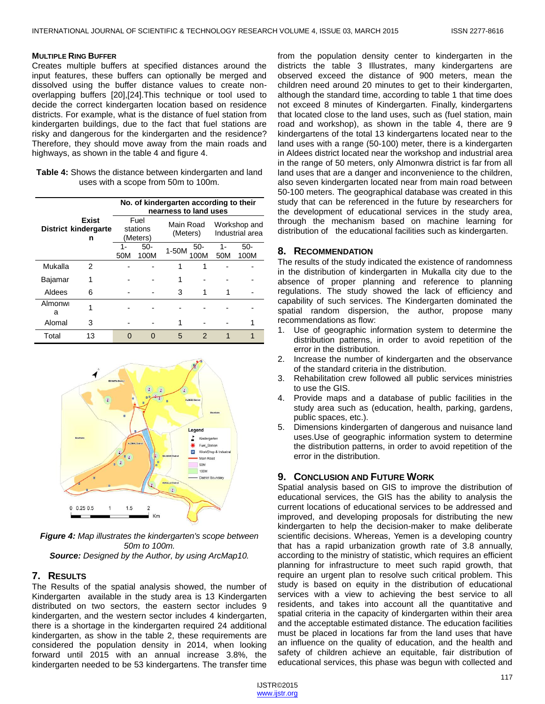#### **MULTIPLE RING BUFFER**

Creates multiple buffers at specified distances around the input features, these buffers can optionally be merged and dissolved using the buffer distance values to create nonoverlapping buffers [20],[24].This technique or tool used to decide the correct kindergarten location based on residence districts. For example, what is the distance of fuel station from kindergarten buildings, due to the fact that fuel stations are risky and dangerous for the kindergarten and the residence? Therefore, they should move away from the main roads and highways, as shown in the table 4 and figure 4.

| Table 4: Shows the distance between kindergarten and land |
|-----------------------------------------------------------|
| uses with a scope from 50m to 100m.                       |

|                                                  |    | No. of kindergarten according to their<br>nearness to land uses |             |                       |               |                                 |               |
|--------------------------------------------------|----|-----------------------------------------------------------------|-------------|-----------------------|---------------|---------------------------------|---------------|
| <b>Exist</b><br><b>District kindergarte</b><br>n |    | Fuel<br>stations<br>(Meters)                                    |             | Main Road<br>(Meters) |               | Workshop and<br>Industrial area |               |
|                                                  |    | $\overline{a}$<br>50M                                           | 50-<br>100M | 1-50M                 | $50-$<br>00M  | 1-<br>50M                       | $50-$<br>100M |
| Mukalla                                          | 2  |                                                                 |             |                       |               |                                 |               |
| Bajamar                                          |    |                                                                 |             |                       |               |                                 |               |
| Aldees                                           | 6  |                                                                 |             | З                     |               |                                 |               |
| Almonw<br>a                                      |    |                                                                 |             |                       |               |                                 |               |
| Alomal                                           | 3  |                                                                 |             |                       |               |                                 |               |
| Total                                            | 13 |                                                                 |             | 5                     | $\mathcal{P}$ |                                 |               |



*Figure 4: Map illustrates the kindergarten's scope between 50m to 100m. Source: Designed by the Author, by using ArcMap10.*

#### **7. RESULTS**

The Results of the spatial analysis showed, the number of Kindergarten available in the study area is 13 Kindergarten distributed on two sectors, the eastern sector includes 9 kindergarten, and the western sector includes 4 kindergarten, there is a shortage in the kindergarten required 24 additional kindergarten, as show in the table 2, these requirements are considered the population density in 2014, when looking forward until 2015 with an annual increase 3.8%, the kindergarten needed to be 53 kindergartens. The transfer time

from the population density center to kindergarten in the districts the table 3 Illustrates, many kindergartens are observed exceed the distance of 900 meters, mean the children need around 20 minutes to get to their kindergarten, although the standard time, according to table 1 that time does not exceed 8 minutes of Kindergarten. Finally, kindergartens that located close to the land uses, such as (fuel station, main road and workshop), as shown in the table 4, there are 9 kindergartens of the total 13 kindergartens located near to the land uses with a range (50-100) meter, there is a kindergarten in Aldees district located near the workshop and industrial area in the range of 50 meters, only Almonwra district is far from all land uses that are a danger and inconvenience to the children, also seven kindergarten located near from main road between 50-100 meters. The geographical database was created in this study that can be referenced in the future by researchers for the development of educational services in the study area, through the mechanism based on machine learning for distribution of the educational facilities such as kindergarten.

## **8. RECOMMENDATION**

The results of the study indicated the existence of randomness in the distribution of kindergarten in Mukalla city due to the absence of proper planning and reference to planning regulations. The study showed the lack of efficiency and capability of such services. The Kindergarten dominated the spatial random dispersion, the author, propose many recommendations as flow:

- 1. Use of geographic information system to determine the distribution patterns, in order to avoid repetition of the error in the distribution.
- 2. Increase the number of kindergarten and the observance of the standard criteria in the distribution.
- 3. Rehabilitation crew followed all public services ministries to use the GIS.
- 4. Provide maps and a database of public facilities in the study area such as (education, health, parking, gardens, public spaces, etc.).
- 5. Dimensions kindergarten of dangerous and nuisance land uses.Use of geographic information system to determine the distribution patterns, in order to avoid repetition of the error in the distribution.

# **9. CONCLUSION AND FUTURE WORK**

Spatial analysis based on GIS to improve the distribution of educational services, the GIS has the ability to analysis the current locations of educational services to be addressed and improved, and developing proposals for distributing the new kindergarten to help the decision-maker to make deliberate scientific decisions. Whereas, Yemen is a developing country that has a rapid urbanization growth rate of 3.8 annually, according to the ministry of statistic, which requires an efficient planning for infrastructure to meet such rapid growth, that require an urgent plan to resolve such critical problem. This study is based on equity in the distribution of educational services with a view to achieving the best service to all residents, and takes into account all the quantitative and spatial criteria in the capacity of kindergarten within their area and the acceptable estimated distance. The education facilities must be placed in locations far from the land uses that have an influence on the quality of education, and the health and safety of children achieve an equitable, fair distribution of educational services, this phase was begun with collected and